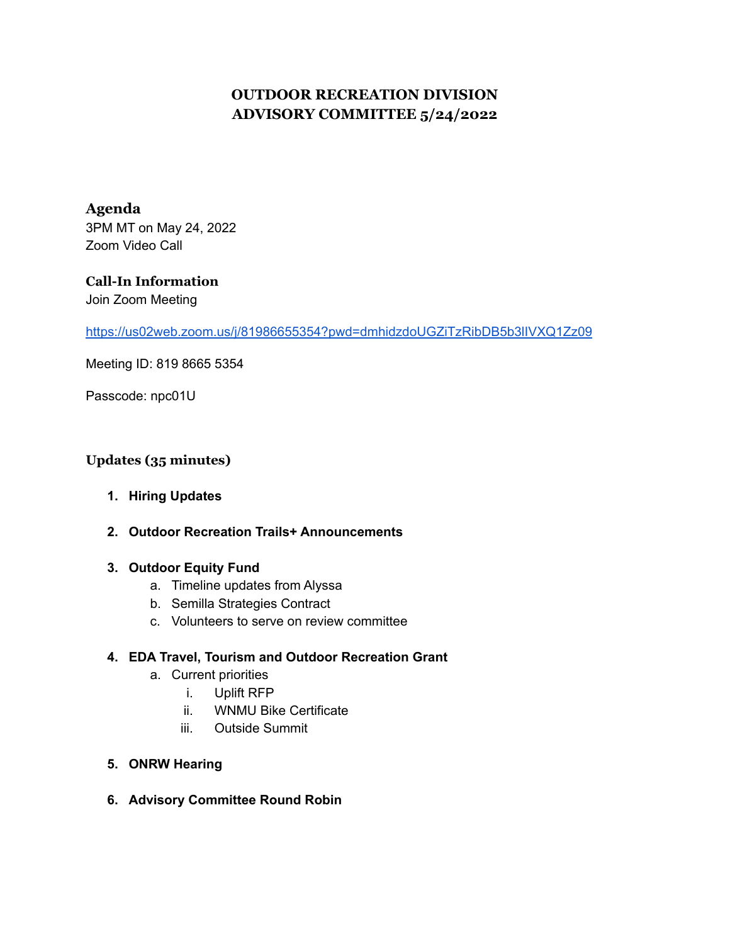# **OUTDOOR RECREATION DIVISION ADVISORY COMMITTEE 5/24/2022**

**Agenda** 3PM MT on May 24, 2022 Zoom Video Call

## **Call-In Information** Join Zoom Meeting

<https://us02web.zoom.us/j/81986655354?pwd=dmhidzdoUGZiTzRibDB5b3lIVXQ1Zz09>

Meeting ID: 819 8665 5354

Passcode: npc01U

## **Updates (35 minutes)**

- **1. Hiring Updates**
- **2. Outdoor Recreation Trails+ Announcements**

### **3. Outdoor Equity Fund**

- a. Timeline updates from Alyssa
- b. Semilla Strategies Contract
- c. Volunteers to serve on review committee

#### **4. EDA Travel, Tourism and Outdoor Recreation Grant**

- a. Current priorities
	- i. Uplift RFP
	- ii. WNMU Bike Certificate
	- iii. Outside Summit
- **5. ONRW Hearing**
- **6. Advisory Committee Round Robin**